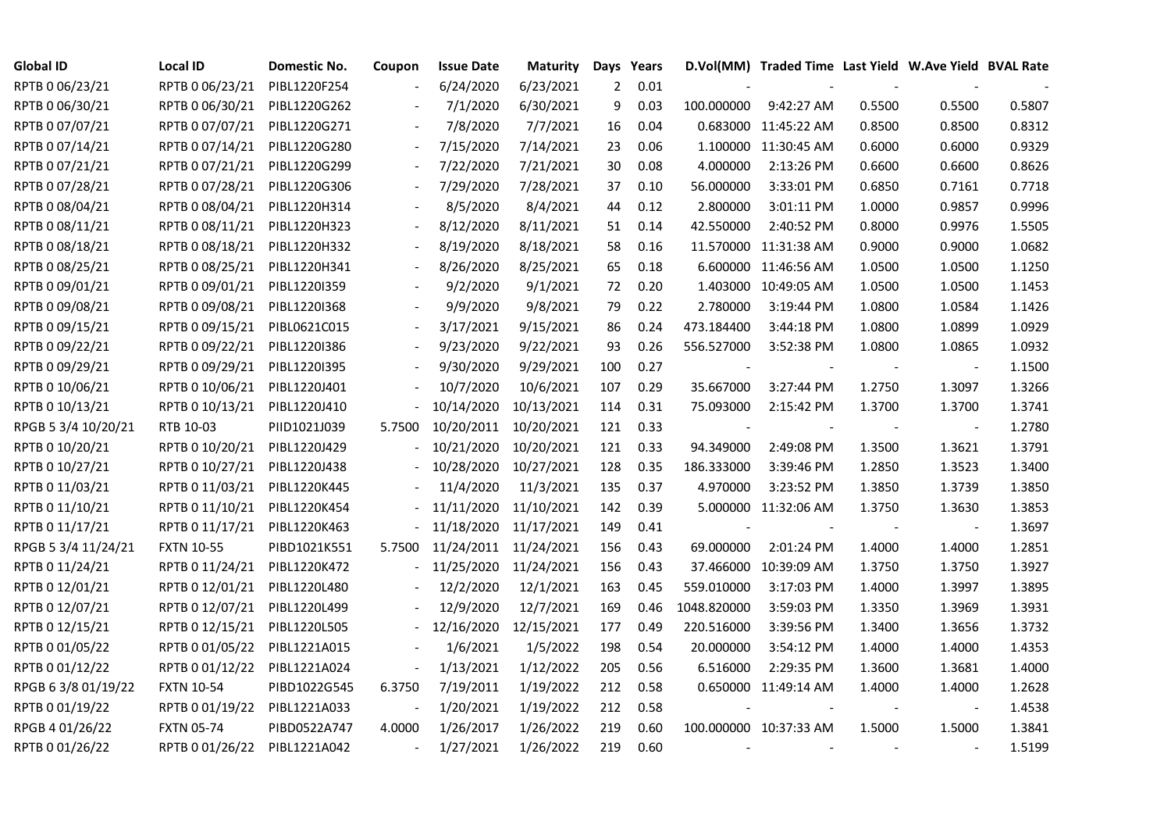| <b>Global ID</b>    | <b>Local ID</b>   | <b>Domestic No.</b> | Coupon                   | <b>Issue Date</b> | <b>Maturity</b> |     | Days Years |             | D.Vol(MM) Traded Time Last Yield W.Ave Yield BVAL Rate |        |                          |        |
|---------------------|-------------------|---------------------|--------------------------|-------------------|-----------------|-----|------------|-------------|--------------------------------------------------------|--------|--------------------------|--------|
| RPTB 0 06/23/21     | RPTB 0 06/23/21   | PIBL1220F254        |                          | 6/24/2020         | 6/23/2021       | 2   | 0.01       |             |                                                        |        |                          |        |
| RPTB 0 06/30/21     | RPTB 0 06/30/21   | PIBL1220G262        |                          | 7/1/2020          | 6/30/2021       | 9   | 0.03       | 100.000000  | 9:42:27 AM                                             | 0.5500 | 0.5500                   | 0.5807 |
| RPTB 0 07/07/21     | RPTB 0 07/07/21   | PIBL1220G271        |                          | 7/8/2020          | 7/7/2021        | 16  | 0.04       |             | 0.683000 11:45:22 AM                                   | 0.8500 | 0.8500                   | 0.8312 |
| RPTB 0 07/14/21     | RPTB 0 07/14/21   | PIBL1220G280        | $\blacksquare$           | 7/15/2020         | 7/14/2021       | 23  | 0.06       |             | 1.100000 11:30:45 AM                                   | 0.6000 | 0.6000                   | 0.9329 |
| RPTB 0 07/21/21     | RPTB 0 07/21/21   | PIBL1220G299        |                          | 7/22/2020         | 7/21/2021       | 30  | 0.08       | 4.000000    | 2:13:26 PM                                             | 0.6600 | 0.6600                   | 0.8626 |
| RPTB 0 07/28/21     | RPTB 0 07/28/21   | PIBL1220G306        |                          | 7/29/2020         | 7/28/2021       | 37  | 0.10       | 56.000000   | 3:33:01 PM                                             | 0.6850 | 0.7161                   | 0.7718 |
| RPTB 0 08/04/21     | RPTB 0 08/04/21   | PIBL1220H314        |                          | 8/5/2020          | 8/4/2021        | 44  | 0.12       | 2.800000    | 3:01:11 PM                                             | 1.0000 | 0.9857                   | 0.9996 |
| RPTB 0 08/11/21     | RPTB 0 08/11/21   | PIBL1220H323        |                          | 8/12/2020         | 8/11/2021       | 51  | 0.14       | 42.550000   | 2:40:52 PM                                             | 0.8000 | 0.9976                   | 1.5505 |
| RPTB 0 08/18/21     | RPTB 0 08/18/21   | PIBL1220H332        |                          | 8/19/2020         | 8/18/2021       | 58  | 0.16       |             | 11.570000 11:31:38 AM                                  | 0.9000 | 0.9000                   | 1.0682 |
| RPTB 0 08/25/21     | RPTB 0 08/25/21   | PIBL1220H341        |                          | 8/26/2020         | 8/25/2021       | 65  | 0.18       |             | 6.600000 11:46:56 AM                                   | 1.0500 | 1.0500                   | 1.1250 |
| RPTB 0 09/01/21     | RPTB 0 09/01/21   | PIBL1220I359        | $\overline{\phantom{a}}$ | 9/2/2020          | 9/1/2021        | 72  | 0.20       |             | 1.403000 10:49:05 AM                                   | 1.0500 | 1.0500                   | 1.1453 |
| RPTB 0 09/08/21     | RPTB 0 09/08/21   | PIBL1220I368        |                          | 9/9/2020          | 9/8/2021        | 79  | 0.22       | 2.780000    | 3:19:44 PM                                             | 1.0800 | 1.0584                   | 1.1426 |
| RPTB 0 09/15/21     | RPTB 0 09/15/21   | PIBL0621C015        |                          | 3/17/2021         | 9/15/2021       | 86  | 0.24       | 473.184400  | 3:44:18 PM                                             | 1.0800 | 1.0899                   | 1.0929 |
| RPTB 0 09/22/21     | RPTB 0 09/22/21   | PIBL1220I386        |                          | 9/23/2020         | 9/22/2021       | 93  | 0.26       | 556.527000  | 3:52:38 PM                                             | 1.0800 | 1.0865                   | 1.0932 |
| RPTB 0 09/29/21     | RPTB 0 09/29/21   | PIBL1220I395        |                          | 9/30/2020         | 9/29/2021       | 100 | 0.27       |             |                                                        |        | $\overline{\phantom{a}}$ | 1.1500 |
| RPTB 0 10/06/21     | RPTB 0 10/06/21   | PIBL1220J401        |                          | 10/7/2020         | 10/6/2021       | 107 | 0.29       | 35.667000   | 3:27:44 PM                                             | 1.2750 | 1.3097                   | 1.3266 |
| RPTB 0 10/13/21     | RPTB 0 10/13/21   | PIBL1220J410        |                          | 10/14/2020        | 10/13/2021      | 114 | 0.31       | 75.093000   | 2:15:42 PM                                             | 1.3700 | 1.3700                   | 1.3741 |
| RPGB 5 3/4 10/20/21 | RTB 10-03         | PIID1021J039        | 5.7500                   | 10/20/2011        | 10/20/2021      | 121 | 0.33       |             |                                                        |        | $\overline{\phantom{a}}$ | 1.2780 |
| RPTB 0 10/20/21     | RPTB 0 10/20/21   | PIBL1220J429        |                          | 10/21/2020        | 10/20/2021      | 121 | 0.33       | 94.349000   | 2:49:08 PM                                             | 1.3500 | 1.3621                   | 1.3791 |
| RPTB 0 10/27/21     | RPTB 0 10/27/21   | PIBL1220J438        |                          | 10/28/2020        | 10/27/2021      | 128 | 0.35       | 186.333000  | 3:39:46 PM                                             | 1.2850 | 1.3523                   | 1.3400 |
| RPTB 0 11/03/21     | RPTB 0 11/03/21   | PIBL1220K445        |                          | 11/4/2020         | 11/3/2021       | 135 | 0.37       | 4.970000    | 3:23:52 PM                                             | 1.3850 | 1.3739                   | 1.3850 |
| RPTB 0 11/10/21     | RPTB 0 11/10/21   | PIBL1220K454        |                          | 11/11/2020        | 11/10/2021      | 142 | 0.39       |             | 5.000000 11:32:06 AM                                   | 1.3750 | 1.3630                   | 1.3853 |
| RPTB 0 11/17/21     | RPTB 0 11/17/21   | PIBL1220K463        |                          | 11/18/2020        | 11/17/2021      | 149 | 0.41       |             |                                                        |        |                          | 1.3697 |
| RPGB 5 3/4 11/24/21 | <b>FXTN 10-55</b> | PIBD1021K551        | 5.7500                   | 11/24/2011        | 11/24/2021      | 156 | 0.43       | 69.000000   | 2:01:24 PM                                             | 1.4000 | 1.4000                   | 1.2851 |
| RPTB 0 11/24/21     | RPTB 0 11/24/21   | PIBL1220K472        |                          | 11/25/2020        | 11/24/2021      | 156 | 0.43       |             | 37.466000 10:39:09 AM                                  | 1.3750 | 1.3750                   | 1.3927 |
| RPTB 0 12/01/21     | RPTB 0 12/01/21   | PIBL1220L480        |                          | 12/2/2020         | 12/1/2021       | 163 | 0.45       | 559.010000  | 3:17:03 PM                                             | 1.4000 | 1.3997                   | 1.3895 |
| RPTB 0 12/07/21     | RPTB 0 12/07/21   | PIBL1220L499        |                          | 12/9/2020         | 12/7/2021       | 169 | 0.46       | 1048.820000 | 3:59:03 PM                                             | 1.3350 | 1.3969                   | 1.3931 |
| RPTB 0 12/15/21     | RPTB 0 12/15/21   | PIBL1220L505        |                          | 12/16/2020        | 12/15/2021      | 177 | 0.49       | 220.516000  | 3:39:56 PM                                             | 1.3400 | 1.3656                   | 1.3732 |
| RPTB 0 01/05/22     | RPTB 0 01/05/22   | PIBL1221A015        |                          | 1/6/2021          | 1/5/2022        | 198 | 0.54       | 20.000000   | 3:54:12 PM                                             | 1.4000 | 1.4000                   | 1.4353 |
| RPTB 0 01/12/22     | RPTB 0 01/12/22   | PIBL1221A024        |                          | 1/13/2021         | 1/12/2022       | 205 | 0.56       | 6.516000    | 2:29:35 PM                                             | 1.3600 | 1.3681                   | 1.4000 |
| RPGB 63/8 01/19/22  | <b>FXTN 10-54</b> | PIBD1022G545        | 6.3750                   | 7/19/2011         | 1/19/2022       | 212 | 0.58       |             | 0.650000 11:49:14 AM                                   | 1.4000 | 1.4000                   | 1.2628 |
| RPTB 0 01/19/22     | RPTB 0 01/19/22   | PIBL1221A033        |                          | 1/20/2021         | 1/19/2022       | 212 | 0.58       |             |                                                        |        | $\overline{\phantom{a}}$ | 1.4538 |
| RPGB 4 01/26/22     | <b>FXTN 05-74</b> | PIBD0522A747        | 4.0000                   | 1/26/2017         | 1/26/2022       | 219 | 0.60       |             | 100.000000 10:37:33 AM                                 | 1.5000 | 1.5000                   | 1.3841 |
| RPTB 0 01/26/22     | RPTB 0 01/26/22   | PIBL1221A042        | $\overline{\phantom{a}}$ | 1/27/2021         | 1/26/2022       | 219 | 0.60       |             |                                                        |        |                          | 1.5199 |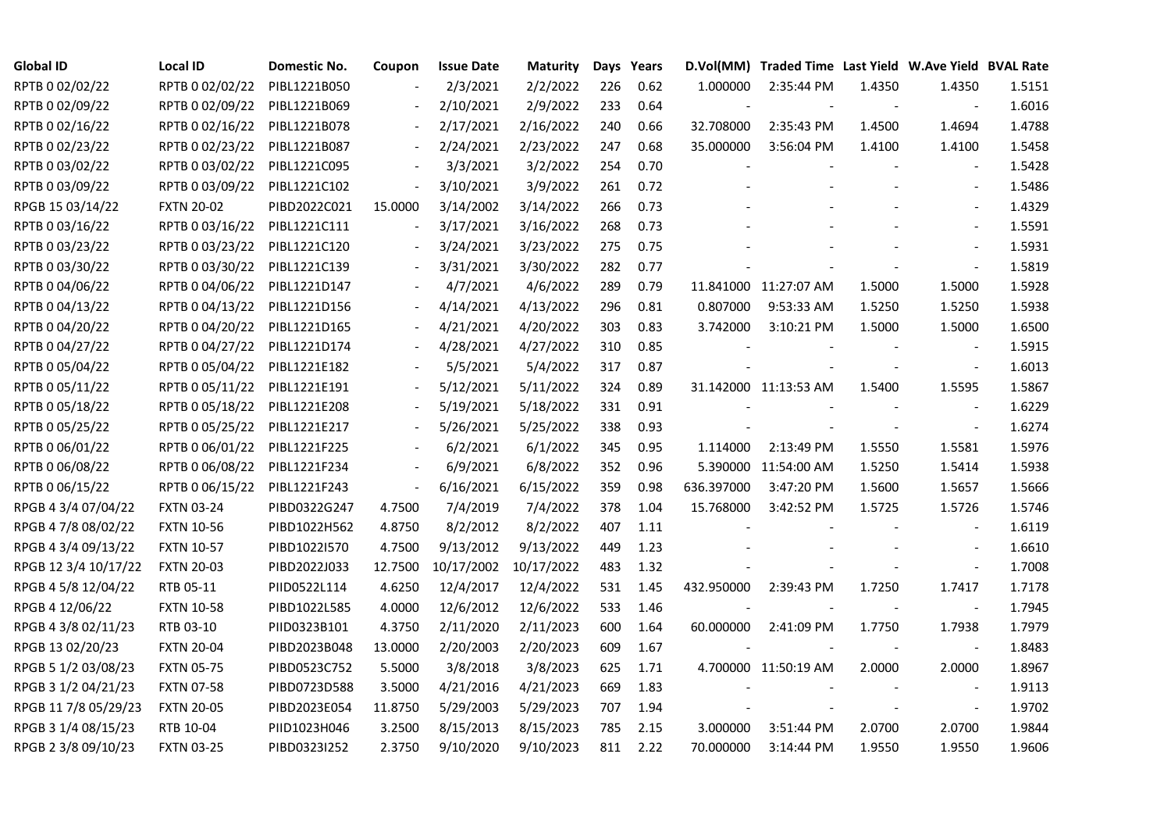| <b>Global ID</b>     | <b>Local ID</b>   | Domestic No. | Coupon         | <b>Issue Date</b> | <b>Maturity</b> |     | Days Years |            | D.Vol(MM) Traded Time Last Yield W.Ave Yield BVAL Rate |        |                          |        |
|----------------------|-------------------|--------------|----------------|-------------------|-----------------|-----|------------|------------|--------------------------------------------------------|--------|--------------------------|--------|
| RPTB 0 02/02/22      | RPTB 0 02/02/22   | PIBL1221B050 |                | 2/3/2021          | 2/2/2022        | 226 | 0.62       | 1.000000   | 2:35:44 PM                                             | 1.4350 | 1.4350                   | 1.5151 |
| RPTB 0 02/09/22      | RPTB 0 02/09/22   | PIBL1221B069 |                | 2/10/2021         | 2/9/2022        | 233 | 0.64       |            |                                                        |        | $\sim$                   | 1.6016 |
| RPTB 0 02/16/22      | RPTB 0 02/16/22   | PIBL1221B078 | $\blacksquare$ | 2/17/2021         | 2/16/2022       | 240 | 0.66       | 32.708000  | 2:35:43 PM                                             | 1.4500 | 1.4694                   | 1.4788 |
| RPTB 0 02/23/22      | RPTB 0 02/23/22   | PIBL1221B087 | $\blacksquare$ | 2/24/2021         | 2/23/2022       | 247 | 0.68       | 35.000000  | 3:56:04 PM                                             | 1.4100 | 1.4100                   | 1.5458 |
| RPTB 0 03/02/22      | RPTB 0 03/02/22   | PIBL1221C095 |                | 3/3/2021          | 3/2/2022        | 254 | 0.70       |            |                                                        |        |                          | 1.5428 |
| RPTB 0 03/09/22      | RPTB 0 03/09/22   | PIBL1221C102 | $\Box$         | 3/10/2021         | 3/9/2022        | 261 | 0.72       |            |                                                        |        | $\blacksquare$           | 1.5486 |
| RPGB 15 03/14/22     | <b>FXTN 20-02</b> | PIBD2022C021 | 15.0000        | 3/14/2002         | 3/14/2022       | 266 | 0.73       |            |                                                        |        | $\blacksquare$           | 1.4329 |
| RPTB 0 03/16/22      | RPTB 0 03/16/22   | PIBL1221C111 |                | 3/17/2021         | 3/16/2022       | 268 | 0.73       |            |                                                        |        | $\overline{\phantom{a}}$ | 1.5591 |
| RPTB 0 03/23/22      | RPTB 0 03/23/22   | PIBL1221C120 |                | 3/24/2021         | 3/23/2022       | 275 | 0.75       |            |                                                        |        |                          | 1.5931 |
| RPTB 0 03/30/22      | RPTB 0 03/30/22   | PIBL1221C139 |                | 3/31/2021         | 3/30/2022       | 282 | 0.77       |            |                                                        |        | $\overline{\phantom{a}}$ | 1.5819 |
| RPTB 0 04/06/22      | RPTB 0 04/06/22   | PIBL1221D147 |                | 4/7/2021          | 4/6/2022        | 289 | 0.79       |            | 11.841000 11:27:07 AM                                  | 1.5000 | 1.5000                   | 1.5928 |
| RPTB 0 04/13/22      | RPTB 0 04/13/22   | PIBL1221D156 |                | 4/14/2021         | 4/13/2022       | 296 | 0.81       | 0.807000   | 9:53:33 AM                                             | 1.5250 | 1.5250                   | 1.5938 |
| RPTB 0 04/20/22      | RPTB 0 04/20/22   | PIBL1221D165 |                | 4/21/2021         | 4/20/2022       | 303 | 0.83       | 3.742000   | 3:10:21 PM                                             | 1.5000 | 1.5000                   | 1.6500 |
| RPTB 0 04/27/22      | RPTB 0 04/27/22   | PIBL1221D174 |                | 4/28/2021         | 4/27/2022       | 310 | 0.85       |            |                                                        |        | $\blacksquare$           | 1.5915 |
| RPTB 0 05/04/22      | RPTB 0 05/04/22   | PIBL1221E182 |                | 5/5/2021          | 5/4/2022        | 317 | 0.87       |            |                                                        |        | $\blacksquare$           | 1.6013 |
| RPTB 0 05/11/22      | RPTB 0 05/11/22   | PIBL1221E191 |                | 5/12/2021         | 5/11/2022       | 324 | 0.89       |            | 31.142000 11:13:53 AM                                  | 1.5400 | 1.5595                   | 1.5867 |
| RPTB 0 05/18/22      | RPTB 0 05/18/22   | PIBL1221E208 |                | 5/19/2021         | 5/18/2022       | 331 | 0.91       |            |                                                        |        | $\overline{\phantom{a}}$ | 1.6229 |
| RPTB 0 05/25/22      | RPTB 0 05/25/22   | PIBL1221E217 | $\blacksquare$ | 5/26/2021         | 5/25/2022       | 338 | 0.93       |            |                                                        |        | $\overline{\phantom{a}}$ | 1.6274 |
| RPTB 0 06/01/22      | RPTB 0 06/01/22   | PIBL1221F225 |                | 6/2/2021          | 6/1/2022        | 345 | 0.95       | 1.114000   | 2:13:49 PM                                             | 1.5550 | 1.5581                   | 1.5976 |
| RPTB 0 06/08/22      | RPTB 0 06/08/22   | PIBL1221F234 |                | 6/9/2021          | 6/8/2022        | 352 | 0.96       |            | 5.390000 11:54:00 AM                                   | 1.5250 | 1.5414                   | 1.5938 |
| RPTB 0 06/15/22      | RPTB 0 06/15/22   | PIBL1221F243 | $\blacksquare$ | 6/16/2021         | 6/15/2022       | 359 | 0.98       | 636.397000 | 3:47:20 PM                                             | 1.5600 | 1.5657                   | 1.5666 |
| RPGB 4 3/4 07/04/22  | <b>FXTN 03-24</b> | PIBD0322G247 | 4.7500         | 7/4/2019          | 7/4/2022        | 378 | 1.04       | 15.768000  | 3:42:52 PM                                             | 1.5725 | 1.5726                   | 1.5746 |
| RPGB 4 7/8 08/02/22  | <b>FXTN 10-56</b> | PIBD1022H562 | 4.8750         | 8/2/2012          | 8/2/2022        | 407 | 1.11       |            |                                                        |        |                          | 1.6119 |
| RPGB 4 3/4 09/13/22  | <b>FXTN 10-57</b> | PIBD1022I570 | 4.7500         | 9/13/2012         | 9/13/2022       | 449 | 1.23       |            |                                                        |        | $\overline{\phantom{a}}$ | 1.6610 |
| RPGB 12 3/4 10/17/22 | <b>FXTN 20-03</b> | PIBD2022J033 | 12.7500        | 10/17/2002        | 10/17/2022      | 483 | 1.32       |            |                                                        |        | $\overline{\phantom{a}}$ | 1.7008 |
| RPGB 4 5/8 12/04/22  | RTB 05-11         | PIID0522L114 | 4.6250         | 12/4/2017         | 12/4/2022       | 531 | 1.45       | 432.950000 | 2:39:43 PM                                             | 1.7250 | 1.7417                   | 1.7178 |
| RPGB 4 12/06/22      | <b>FXTN 10-58</b> | PIBD1022L585 | 4.0000         | 12/6/2012         | 12/6/2022       | 533 | 1.46       |            |                                                        |        | $\blacksquare$           | 1.7945 |
| RPGB 4 3/8 02/11/23  | RTB 03-10         | PIID0323B101 | 4.3750         | 2/11/2020         | 2/11/2023       | 600 | 1.64       | 60.000000  | 2:41:09 PM                                             | 1.7750 | 1.7938                   | 1.7979 |
| RPGB 13 02/20/23     | <b>FXTN 20-04</b> | PIBD2023B048 | 13.0000        | 2/20/2003         | 2/20/2023       | 609 | 1.67       |            |                                                        |        | $\overline{\phantom{a}}$ | 1.8483 |
| RPGB 5 1/2 03/08/23  | <b>FXTN 05-75</b> | PIBD0523C752 | 5.5000         | 3/8/2018          | 3/8/2023        | 625 | 1.71       |            | 4.700000 11:50:19 AM                                   | 2.0000 | 2.0000                   | 1.8967 |
| RPGB 3 1/2 04/21/23  | <b>FXTN 07-58</b> | PIBD0723D588 | 3.5000         | 4/21/2016         | 4/21/2023       | 669 | 1.83       |            |                                                        |        | $\overline{\phantom{a}}$ | 1.9113 |
| RPGB 11 7/8 05/29/23 | <b>FXTN 20-05</b> | PIBD2023E054 | 11.8750        | 5/29/2003         | 5/29/2023       | 707 | 1.94       |            |                                                        |        | $\overline{\phantom{a}}$ | 1.9702 |
| RPGB 3 1/4 08/15/23  | RTB 10-04         | PIID1023H046 | 3.2500         | 8/15/2013         | 8/15/2023       | 785 | 2.15       | 3.000000   | 3:51:44 PM                                             | 2.0700 | 2.0700                   | 1.9844 |
| RPGB 2 3/8 09/10/23  | <b>FXTN 03-25</b> | PIBD0323I252 | 2.3750         | 9/10/2020         | 9/10/2023       | 811 | 2.22       | 70.000000  | 3:14:44 PM                                             | 1.9550 | 1.9550                   | 1.9606 |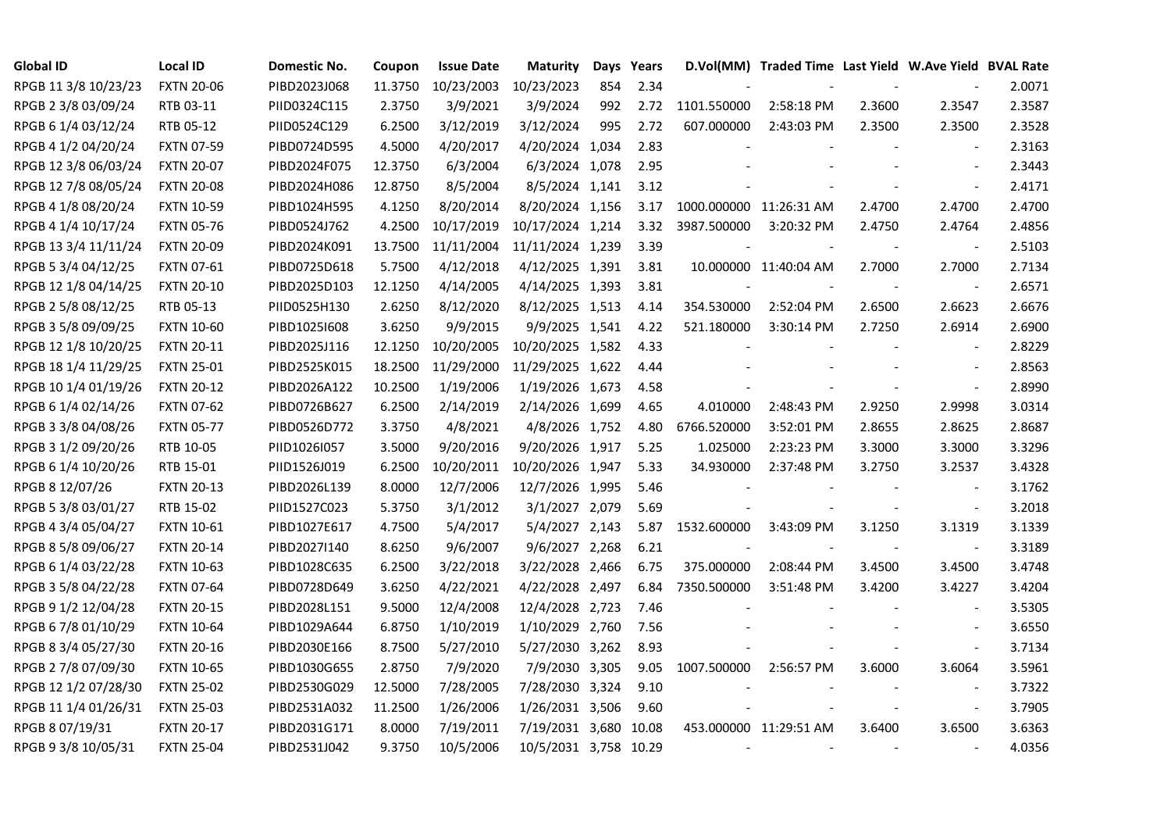| <b>Global ID</b>     | <b>Local ID</b>   | Domestic No. | Coupon  | <b>Issue Date</b> | <b>Maturity</b>       |     | Days Years |                         | D.Vol(MM) Traded Time Last Yield W.Ave Yield BVAL Rate |        |                          |        |
|----------------------|-------------------|--------------|---------|-------------------|-----------------------|-----|------------|-------------------------|--------------------------------------------------------|--------|--------------------------|--------|
| RPGB 11 3/8 10/23/23 | <b>FXTN 20-06</b> | PIBD2023J068 | 11.3750 | 10/23/2003        | 10/23/2023            | 854 | 2.34       |                         |                                                        |        |                          | 2.0071 |
| RPGB 2 3/8 03/09/24  | RTB 03-11         | PIID0324C115 | 2.3750  | 3/9/2021          | 3/9/2024              | 992 | 2.72       | 1101.550000             | 2:58:18 PM                                             | 2.3600 | 2.3547                   | 2.3587 |
| RPGB 6 1/4 03/12/24  | RTB 05-12         | PIID0524C129 | 6.2500  | 3/12/2019         | 3/12/2024             | 995 | 2.72       | 607.000000              | 2:43:03 PM                                             | 2.3500 | 2.3500                   | 2.3528 |
| RPGB 4 1/2 04/20/24  | <b>FXTN 07-59</b> | PIBD0724D595 | 4.5000  | 4/20/2017         | 4/20/2024 1,034       |     | 2.83       |                         |                                                        |        | $\mathbf{r}$             | 2.3163 |
| RPGB 12 3/8 06/03/24 | <b>FXTN 20-07</b> | PIBD2024F075 | 12.3750 | 6/3/2004          | 6/3/2024 1,078        |     | 2.95       |                         |                                                        |        | $\blacksquare$           | 2.3443 |
| RPGB 12 7/8 08/05/24 | <b>FXTN 20-08</b> | PIBD2024H086 | 12.8750 | 8/5/2004          | 8/5/2024 1,141        |     | 3.12       |                         |                                                        |        | $\blacksquare$           | 2.4171 |
| RPGB 4 1/8 08/20/24  | <b>FXTN 10-59</b> | PIBD1024H595 | 4.1250  | 8/20/2014         | 8/20/2024 1,156       |     | 3.17       | 1000.000000 11:26:31 AM |                                                        | 2.4700 | 2.4700                   | 2.4700 |
| RPGB 4 1/4 10/17/24  | <b>FXTN 05-76</b> | PIBD0524J762 | 4.2500  | 10/17/2019        | 10/17/2024 1,214      |     | 3.32       | 3987.500000             | 3:20:32 PM                                             | 2.4750 | 2.4764                   | 2.4856 |
| RPGB 13 3/4 11/11/24 | <b>FXTN 20-09</b> | PIBD2024K091 | 13.7500 | 11/11/2004        | 11/11/2024 1,239      |     | 3.39       |                         |                                                        |        |                          | 2.5103 |
| RPGB 5 3/4 04/12/25  | FXTN 07-61        | PIBD0725D618 | 5.7500  | 4/12/2018         | 4/12/2025 1,391       |     | 3.81       |                         | 10.000000 11:40:04 AM                                  | 2.7000 | 2.7000                   | 2.7134 |
| RPGB 12 1/8 04/14/25 | <b>FXTN 20-10</b> | PIBD2025D103 | 12.1250 | 4/14/2005         | 4/14/2025 1,393       |     | 3.81       |                         |                                                        |        | $\overline{\phantom{a}}$ | 2.6571 |
| RPGB 2 5/8 08/12/25  | RTB 05-13         | PIID0525H130 | 2.6250  | 8/12/2020         | 8/12/2025 1,513       |     | 4.14       | 354.530000              | 2:52:04 PM                                             | 2.6500 | 2.6623                   | 2.6676 |
| RPGB 3 5/8 09/09/25  | <b>FXTN 10-60</b> | PIBD10251608 | 3.6250  | 9/9/2015          | 9/9/2025 1,541        |     | 4.22       | 521.180000              | 3:30:14 PM                                             | 2.7250 | 2.6914                   | 2.6900 |
| RPGB 12 1/8 10/20/25 | <b>FXTN 20-11</b> | PIBD2025J116 | 12.1250 | 10/20/2005        | 10/20/2025 1,582      |     | 4.33       |                         |                                                        |        | $\blacksquare$           | 2.8229 |
| RPGB 18 1/4 11/29/25 | <b>FXTN 25-01</b> | PIBD2525K015 | 18.2500 | 11/29/2000        | 11/29/2025 1,622      |     | 4.44       |                         |                                                        |        | $\blacksquare$           | 2.8563 |
| RPGB 10 1/4 01/19/26 | <b>FXTN 20-12</b> | PIBD2026A122 | 10.2500 | 1/19/2006         | 1/19/2026 1,673       |     | 4.58       |                         |                                                        |        | $\blacksquare$           | 2.8990 |
| RPGB 6 1/4 02/14/26  | <b>FXTN 07-62</b> | PIBD0726B627 | 6.2500  | 2/14/2019         | 2/14/2026 1,699       |     | 4.65       | 4.010000                | 2:48:43 PM                                             | 2.9250 | 2.9998                   | 3.0314 |
| RPGB 3 3/8 04/08/26  | <b>FXTN 05-77</b> | PIBD0526D772 | 3.3750  | 4/8/2021          | 4/8/2026 1,752        |     | 4.80       | 6766.520000             | 3:52:01 PM                                             | 2.8655 | 2.8625                   | 2.8687 |
| RPGB 3 1/2 09/20/26  | RTB 10-05         | PIID1026I057 | 3.5000  | 9/20/2016         | 9/20/2026 1,917       |     | 5.25       | 1.025000                | 2:23:23 PM                                             | 3.3000 | 3.3000                   | 3.3296 |
| RPGB 6 1/4 10/20/26  | RTB 15-01         | PIID1526J019 | 6.2500  | 10/20/2011        | 10/20/2026 1,947      |     | 5.33       | 34.930000               | 2:37:48 PM                                             | 3.2750 | 3.2537                   | 3.4328 |
| RPGB 8 12/07/26      | <b>FXTN 20-13</b> | PIBD2026L139 | 8.0000  | 12/7/2006         | 12/7/2026 1,995       |     | 5.46       |                         |                                                        |        | $\blacksquare$           | 3.1762 |
| RPGB 5 3/8 03/01/27  | RTB 15-02         | PIID1527C023 | 5.3750  | 3/1/2012          | 3/1/2027 2,079        |     | 5.69       |                         |                                                        |        | $\blacksquare$           | 3.2018 |
| RPGB 4 3/4 05/04/27  | <b>FXTN 10-61</b> | PIBD1027E617 | 4.7500  | 5/4/2017          | 5/4/2027 2,143        |     | 5.87       | 1532.600000             | 3:43:09 PM                                             | 3.1250 | 3.1319                   | 3.1339 |
| RPGB 8 5/8 09/06/27  | <b>FXTN 20-14</b> | PIBD2027I140 | 8.6250  | 9/6/2007          | 9/6/2027 2,268        |     | 6.21       |                         |                                                        |        | $\overline{\phantom{a}}$ | 3.3189 |
| RPGB 6 1/4 03/22/28  | <b>FXTN 10-63</b> | PIBD1028C635 | 6.2500  | 3/22/2018         | 3/22/2028 2,466       |     | 6.75       | 375.000000              | 2:08:44 PM                                             | 3.4500 | 3.4500                   | 3.4748 |
| RPGB 3 5/8 04/22/28  | <b>FXTN 07-64</b> | PIBD0728D649 | 3.6250  | 4/22/2021         | 4/22/2028 2,497       |     | 6.84       | 7350.500000             | 3:51:48 PM                                             | 3.4200 | 3.4227                   | 3.4204 |
| RPGB 9 1/2 12/04/28  | <b>FXTN 20-15</b> | PIBD2028L151 | 9.5000  | 12/4/2008         | 12/4/2028 2,723       |     | 7.46       |                         |                                                        |        | $\blacksquare$           | 3.5305 |
| RPGB 6 7/8 01/10/29  | <b>FXTN 10-64</b> | PIBD1029A644 | 6.8750  | 1/10/2019         | 1/10/2029 2,760       |     | 7.56       |                         |                                                        |        | $\blacksquare$           | 3.6550 |
| RPGB 8 3/4 05/27/30  | <b>FXTN 20-16</b> | PIBD2030E166 | 8.7500  | 5/27/2010         | 5/27/2030 3,262       |     | 8.93       |                         |                                                        |        | $\blacksquare$           | 3.7134 |
| RPGB 2 7/8 07/09/30  | <b>FXTN 10-65</b> | PIBD1030G655 | 2.8750  | 7/9/2020          | 7/9/2030 3,305        |     | 9.05       | 1007.500000             | 2:56:57 PM                                             | 3.6000 | 3.6064                   | 3.5961 |
| RPGB 12 1/2 07/28/30 | <b>FXTN 25-02</b> | PIBD2530G029 | 12.5000 | 7/28/2005         | 7/28/2030 3,324       |     | 9.10       |                         |                                                        |        | $\overline{\phantom{a}}$ | 3.7322 |
| RPGB 11 1/4 01/26/31 | <b>FXTN 25-03</b> | PIBD2531A032 | 11.2500 | 1/26/2006         | 1/26/2031 3,506       |     | 9.60       |                         |                                                        |        | $\blacksquare$           | 3.7905 |
| RPGB 8 07/19/31      | <b>FXTN 20-17</b> | PIBD2031G171 | 8.0000  | 7/19/2011         | 7/19/2031 3,680       |     | 10.08      |                         | 453.000000 11:29:51 AM                                 | 3.6400 | 3.6500                   | 3.6363 |
| RPGB 9 3/8 10/05/31  | <b>FXTN 25-04</b> | PIBD2531J042 | 9.3750  | 10/5/2006         | 10/5/2031 3,758 10.29 |     |            |                         |                                                        |        | $\overline{\phantom{a}}$ | 4.0356 |